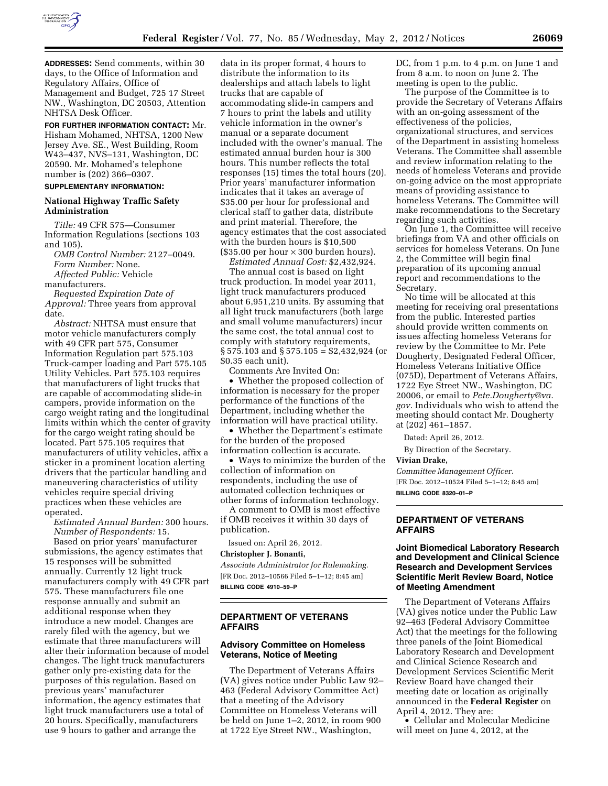

**ADDRESSES:** Send comments, within 30 days, to the Office of Information and Regulatory Affairs, Office of Management and Budget, 725 17 Street NW., Washington, DC 20503, Attention NHTSA Desk Officer.

**FOR FURTHER INFORMATION CONTACT:** Mr. Hisham Mohamed, NHTSA, 1200 New Jersey Ave. SE., West Building, Room W43–437, NVS–131, Washington, DC 20590. Mr. Mohamed's telephone number is (202) 366–0307.

# **SUPPLEMENTARY INFORMATION:**

#### **National Highway Traffic Safety Administration**

*Title:* 49 CFR 575—Consumer Information Regulations (sections 103 and 105).

*OMB Control Number:* 2127–0049. *Form Number:* None. *Affected Public:* Vehicle

manufacturers.

*Requested Expiration Date of Approval:* Three years from approval date.

*Abstract:* NHTSA must ensure that motor vehicle manufacturers comply with 49 CFR part 575, Consumer Information Regulation part 575.103 Truck-camper loading and Part 575.105 Utility Vehicles. Part 575.103 requires that manufacturers of light trucks that are capable of accommodating slide-in campers, provide information on the cargo weight rating and the longitudinal limits within which the center of gravity for the cargo weight rating should be located. Part 575.105 requires that manufacturers of utility vehicles, affix a sticker in a prominent location alerting drivers that the particular handling and maneuvering characteristics of utility vehicles require special driving practices when these vehicles are operated.

*Estimated Annual Burden:* 300 hours. *Number of Respondents:* 15.

Based on prior years' manufacturer submissions, the agency estimates that 15 responses will be submitted annually. Currently 12 light truck manufacturers comply with 49 CFR part 575. These manufacturers file one response annually and submit an additional response when they introduce a new model. Changes are rarely filed with the agency, but we estimate that three manufacturers will alter their information because of model changes. The light truck manufacturers gather only pre-existing data for the purposes of this regulation. Based on previous years' manufacturer information, the agency estimates that light truck manufacturers use a total of 20 hours. Specifically, manufacturers use 9 hours to gather and arrange the

data in its proper format, 4 hours to distribute the information to its dealerships and attach labels to light trucks that are capable of accommodating slide-in campers and 7 hours to print the labels and utility vehicle information in the owner's manual or a separate document included with the owner's manual. The estimated annual burden hour is 300 hours. This number reflects the total responses (15) times the total hours (20). Prior years' manufacturer information indicates that it takes an average of \$35.00 per hour for professional and clerical staff to gather data, distribute and print material. Therefore, the agency estimates that the cost associated with the burden hours is \$10,500  $($35.00\,\mathrm{per}\,\mathrm{hour} \times 300\,\mathrm{burden}\,\mathrm{hours}).$ 

*Estimated Annual Cost:* \$2,432,924.

The annual cost is based on light truck production. In model year 2011, light truck manufacturers produced about 6,951,210 units. By assuming that all light truck manufacturers (both large and small volume manufacturers) incur the same cost, the total annual cost to comply with statutory requirements, § 575.103 and § 575.105 = \$2,432,924 (or \$0.35 each unit).

Comments Are Invited On:

• Whether the proposed collection of information is necessary for the proper performance of the functions of the Department, including whether the information will have practical utility.

• Whether the Department's estimate for the burden of the proposed information collection is accurate.

• Ways to minimize the burden of the collection of information on respondents, including the use of automated collection techniques or other forms of information technology.

A comment to OMB is most effective if OMB receives it within 30 days of publication.

Issued on: April 26, 2012.

### **Christopher J. Bonanti,**

*Associate Administrator for Rulemaking.*  [FR Doc. 2012–10566 Filed 5–1–12; 8:45 am] **BILLING CODE 4910–59–P** 

## **DEPARTMENT OF VETERANS AFFAIRS**

# **Advisory Committee on Homeless Veterans, Notice of Meeting**

The Department of Veterans Affairs (VA) gives notice under Public Law 92– 463 (Federal Advisory Committee Act) that a meeting of the Advisory Committee on Homeless Veterans will be held on June 1–2, 2012, in room 900 at 1722 Eye Street NW., Washington,

DC, from 1 p.m. to 4 p.m. on June 1 and from 8 a.m. to noon on June 2. The meeting is open to the public.

The purpose of the Committee is to provide the Secretary of Veterans Affairs with an on-going assessment of the effectiveness of the policies, organizational structures, and services of the Department in assisting homeless Veterans. The Committee shall assemble and review information relating to the needs of homeless Veterans and provide on-going advice on the most appropriate means of providing assistance to homeless Veterans. The Committee will make recommendations to the Secretary regarding such activities.

On June 1, the Committee will receive briefings from VA and other officials on services for homeless Veterans. On June 2, the Committee will begin final preparation of its upcoming annual report and recommendations to the Secretary.

No time will be allocated at this meeting for receiving oral presentations from the public. Interested parties should provide written comments on issues affecting homeless Veterans for review by the Committee to Mr. Pete Dougherty, Designated Federal Officer, Homeless Veterans Initiative Office (075D), Department of Veterans Affairs, 1722 Eye Street NW., Washington, DC 20006, or email to *[Pete.Dougherty@va.](mailto:Pete.Dougherty@va.gov) [gov.](mailto:Pete.Dougherty@va.gov)* Individuals who wish to attend the meeting should contact Mr. Dougherty at (202) 461–1857.

Dated: April 26, 2012.

By Direction of the Secretary.

#### **Vivian Drake,**

*Committee Management Officer.*  [FR Doc. 2012–10524 Filed 5–1–12; 8:45 am] **BILLING CODE 8320–01–P** 

# **DEPARTMENT OF VETERANS AFFAIRS**

## **Joint Biomedical Laboratory Research and Development and Clinical Science Research and Development Services Scientific Merit Review Board, Notice of Meeting Amendment**

The Department of Veterans Affairs (VA) gives notice under the Public Law 92–463 (Federal Advisory Committee Act) that the meetings for the following three panels of the Joint Biomedical Laboratory Research and Development and Clinical Science Research and Development Services Scientific Merit Review Board have changed their meeting date or location as originally announced in the **Federal Register** on April 4, 2012. They are:

• Cellular and Molecular Medicine will meet on June 4, 2012, at the